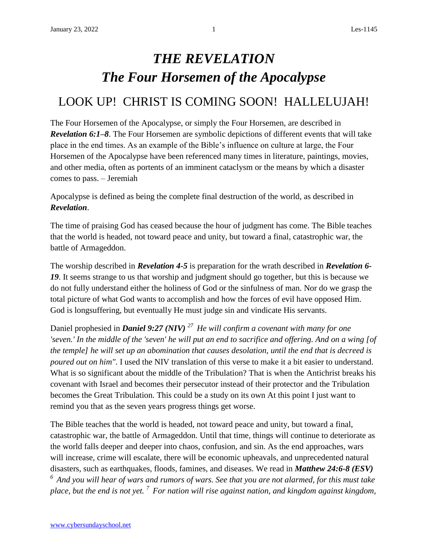## *THE REVELATION The Four Horsemen of the Apocalypse*

## LOOK UP! CHRIST IS COMING SOON! HALLELUJAH!

The Four Horsemen of the Apocalypse, or simply the Four Horsemen, are described in *Revelation 6:1–8*. The Four Horsemen are symbolic depictions of different events that will take place in the end times. As an example of the Bible's influence on culture at large, the Four Horsemen of the Apocalypse have been referenced many times in literature, paintings, movies, and other media, often as portents of an imminent cataclysm or the means by which a disaster comes to pass. – Jeremiah

Apocalypse is defined as being the complete final destruction of the world, as described in *Revelation*.

The time of praising God has ceased because the hour of judgment has come. The Bible teaches that the world is headed, not toward peace and unity, but toward a final, catastrophic war, the battle of Armageddon.

The worship described in *Revelation 4-5* is preparation for the wrath described in *Revelation 6-* 19. It seems strange to us that worship and judgment should go together, but this is because we do not fully understand either the holiness of God or the sinfulness of man. Nor do we grasp the total picture of what God wants to accomplish and how the forces of evil have opposed Him. God is longsuffering, but eventually He must judge sin and vindicate His servants.

Daniel prophesied in *Daniel 9:27 (NIV) <sup>27</sup>He will confirm a covenant with many for one 'seven.' In the middle of the 'seven' he will put an end to sacrifice and offering. And on a wing [of the temple] he will set up an abomination that causes desolation, until the end that is decreed is poured out on him".* I used the NIV translation of this verse to make it a bit easier to understand. What is so significant about the middle of the Tribulation? That is when the Antichrist breaks his covenant with Israel and becomes their persecutor instead of their protector and the Tribulation becomes the Great Tribulation. This could be a study on its own At this point I just want to remind you that as the seven years progress things get worse.

The Bible teaches that the world is headed, not toward peace and unity, but toward a final, catastrophic war, the battle of Armageddon. Until that time, things will continue to deteriorate as the world falls deeper and deeper into chaos, confusion, and sin. As the end approaches, wars will increase, crime will escalate, there will be economic upheavals, and unprecedented natural disasters, such as earthquakes, floods, famines, and diseases. We read in *Matthew 24:6-8 (ESV) <sup>6</sup>And you will hear of wars and rumors of wars. See that you are not alarmed, for this must take place, but the end is not yet. <sup>7</sup>For nation will rise against nation, and kingdom against kingdom,*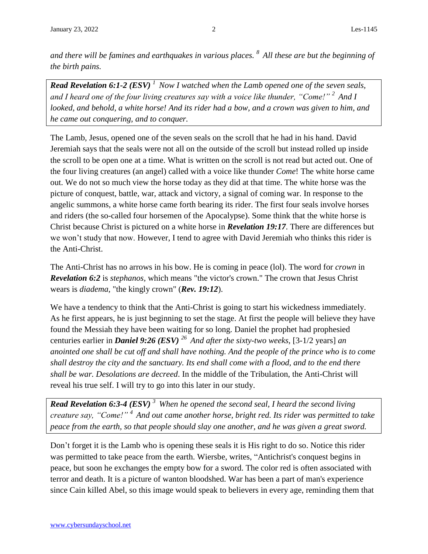*and there will be famines and earthquakes in various places. <sup>8</sup>All these are but the beginning of the birth pains.*

*Read Revelation 6:1-2 (ESV) <sup>1</sup>Now I watched when the Lamb opened one of the seven seals, and I heard one of the four living creatures say with a voice like thunder, "Come!" <sup>2</sup>And I looked, and behold, a white horse! And its rider had a bow, and a crown was given to him, and he came out conquering, and to conquer.* 

The Lamb, Jesus, opened one of the seven seals on the scroll that he had in his hand. David Jeremiah says that the seals were not all on the outside of the scroll but instead rolled up inside the scroll to be open one at a time. What is written on the scroll is not read but acted out. One of the four living creatures (an angel) called with a voice like thunder *Come*! The white horse came out. We do not so much view the horse today as they did at that time. The white horse was the picture of conquest, battle, war, attack and victory, a signal of coming war. In response to the angelic summons, a white horse came forth bearing its rider. The first four seals involve horses and riders (the so-called four horsemen of the Apocalypse). Some think that the white horse is Christ because Christ is pictured on a white horse in *Revelation 19:17*. There are differences but we won't study that now. However, I tend to agree with David Jeremiah who thinks this rider is the Anti-Christ.

The Anti-Christ has no arrows in his bow. He is coming in peace (lol). The word for *crown* in *Revelation 6:2* is *stephanos,* which means "the victor's crown." The crown that Jesus Christ wears is *diadema,* "the kingly crown" (*Rev. 19:12*).

We have a tendency to think that the Anti-Christ is going to start his wickedness immediately. As he first appears, he is just beginning to set the stage. At first the people will believe they have found the Messiah they have been waiting for so long. Daniel the prophet had prophesied centuries earlier in *Daniel 9:26 (ESV) <sup>26</sup>And after the sixty-two weeks,* [3-1/2 years] *an anointed one shall be cut off and shall have nothing. And the people of the prince who is to come shall destroy the city and the sanctuary. Its end shall come with a flood, and to the end there shall be war. Desolations are decreed*. In the middle of the Tribulation, the Anti-Christ will reveal his true self. I will try to go into this later in our study.

*Read Revelation 6:3-4 (ESV) <sup>3</sup>When he opened the second seal, I heard the second living creature say, "Come!" <sup>4</sup>And out came another horse, bright red. Its rider was permitted to take peace from the earth, so that people should slay one another, and he was given a great sword.*

Don't forget it is the Lamb who is opening these seals it is His right to do so. Notice this rider was permitted to take peace from the earth. Wiersbe, writes, "Antichrist's conquest begins in peace, but soon he exchanges the empty bow for a sword. The color red is often associated with terror and death. It is a picture of wanton bloodshed. War has been a part of man's experience since Cain killed Abel, so this image would speak to believers in every age, reminding them that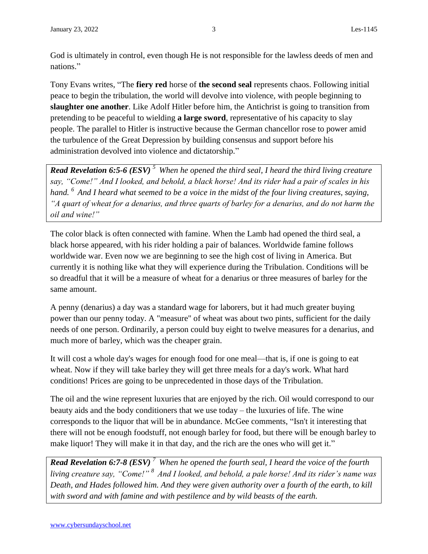God is ultimately in control, even though He is not responsible for the lawless deeds of men and nations."

Tony Evans writes, "The **fiery red** horse of **the second seal** represents chaos. Following initial peace to begin the tribulation, the world will devolve into violence, with people beginning to **slaughter one another**. Like Adolf Hitler before him, the Antichrist is going to transition from pretending to be peaceful to wielding **a large sword**, representative of his capacity to slay people. The parallel to Hitler is instructive because the German chancellor rose to power amid the turbulence of the Great Depression by building consensus and support before his administration devolved into violence and dictatorship."

*Read Revelation 6:5-6 (ESV) <sup>5</sup>When he opened the third seal, I heard the third living creature say, "Come!" And I looked, and behold, a black horse! And its rider had a pair of scales in his hand. <sup>6</sup>And I heard what seemed to be a voice in the midst of the four living creatures, saying, "A quart of wheat for a denarius, and three quarts of barley for a denarius, and do not harm the oil and wine!"*

The color black is often connected with famine. When the Lamb had opened the third seal, a black horse appeared, with his rider holding a pair of balances. Worldwide famine follows worldwide war. Even now we are beginning to see the high cost of living in America. But currently it is nothing like what they will experience during the Tribulation. Conditions will be so dreadful that it will be a measure of wheat for a denarius or three measures of barley for the same amount.

A penny (denarius) a day was a standard wage for laborers, but it had much greater buying power than our penny today. A "measure" of wheat was about two pints, sufficient for the daily needs of one person. Ordinarily, a person could buy eight to twelve measures for a denarius, and much more of barley, which was the cheaper grain.

It will cost a whole day's wages for enough food for one meal—that is, if one is going to eat wheat. Now if they will take barley they will get three meals for a day's work. What hard conditions! Prices are going to be unprecedented in those days of the Tribulation.

The oil and the wine represent luxuries that are enjoyed by the rich. Oil would correspond to our beauty aids and the body conditioners that we use today – the luxuries of life. The wine corresponds to the liquor that will be in abundance. McGee comments, "Isn't it interesting that there will not be enough foodstuff, not enough barley for food, but there will be enough barley to make liquor! They will make it in that day, and the rich are the ones who will get it."

*Read Revelation 6:7-8 (ESV) <sup>7</sup>When he opened the fourth seal, I heard the voice of the fourth living creature say, "Come!" <sup>8</sup>And I looked, and behold, a pale horse! And its rider's name was Death, and Hades followed him. And they were given authority over a fourth of the earth, to kill with sword and with famine and with pestilence and by wild beasts of the earth.*